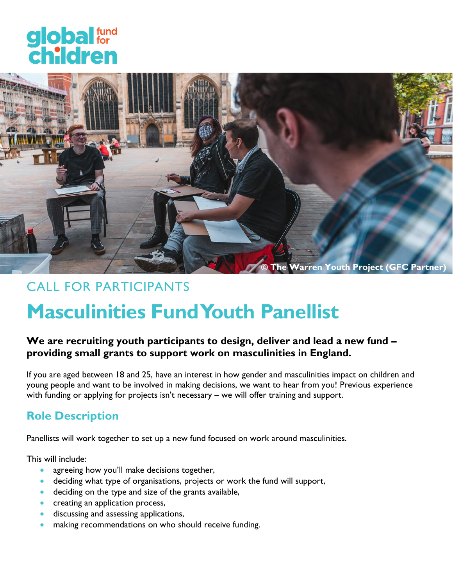# global for<br>ch:Idren



### CALL FOR PARTICIPANTS

## **Masculinities Fund Youth Panellist**

#### **We are recruiting youth participants to design, deliver and lead a new fund – providing small grants to support work on masculinities in England.**

If you are aged between 18 and 25, have an interest in how gender and masculinities impact on children and young people and want to be involved in making decisions, we want to hear from you! Previous experience with funding or applying for projects isn't necessary – we will offer training and support.

#### **Role Description**

Panellists will work together to set up a new fund focused on work around masculinities.

This will include:

- agreeing how you'll make decisions together,
- deciding what type of organisations, projects or work the fund will support,
- deciding on the type and size of the grants available,
- creating an application process,
- **discussing and assessing applications,**
- making recommendations on who should receive funding.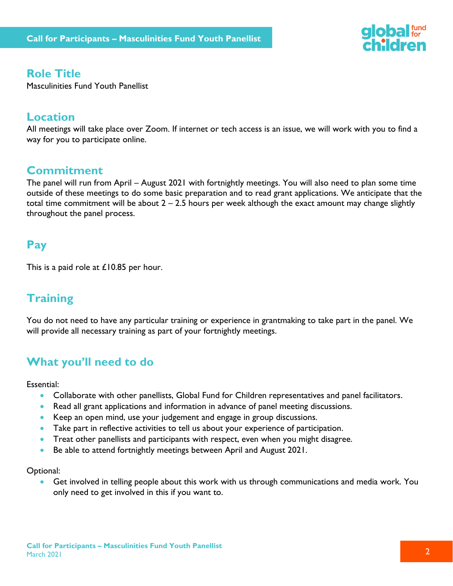

#### **Role Title**

Masculinities Fund Youth Panellist

#### **Location**

All meetings will take place over Zoom. If internet or tech access is an issue, we will work with you to find a way for you to participate online.

#### **Commitment**

The panel will run from April – August 2021 with fortnightly meetings. You will also need to plan some time outside of these meetings to do some basic preparation and to read grant applications. We anticipate that the total time commitment will be about  $2 - 2.5$  hours per week although the exact amount may change slightly throughout the panel process.

#### **Pay**

This is a paid role at £10.85 per hour.

#### **Training**

You do not need to have any particular training or experience in grantmaking to take part in the panel. We will provide all necessary training as part of your fortnightly meetings.

#### **What you'll need to do**

Essential:

- Collaborate with other panellists, Global Fund for Children representatives and panel facilitators.
- Read all grant applications and information in advance of panel meeting discussions.
- Keep an open mind, use your judgement and engage in group discussions.
- Take part in reflective activities to tell us about your experience of participation.
- **Treat other panellists and participants with respect, even when you might disagree.**
- Be able to attend fortnightly meetings between April and August 2021.

Optional:

 Get involved in telling people about this work with us through communications and media work. You only need to get involved in this if you want to.